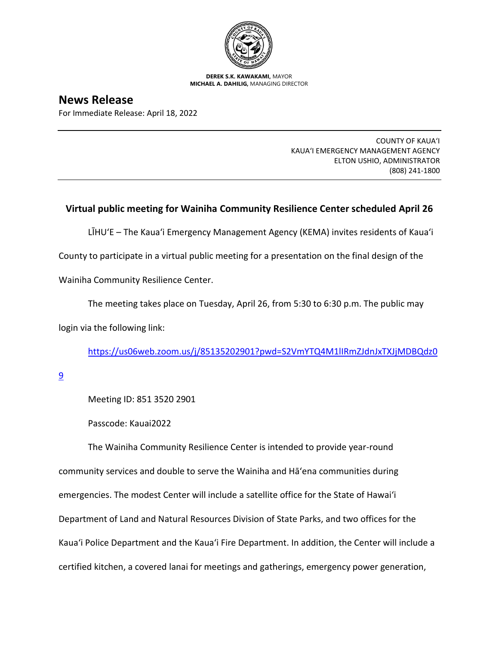

**DEREK S.K. KAWAKAMI,** MAYOR **MICHAEL A. DAHILIG,** MANAGING DIRECTOR

## **News Release**

For Immediate Release: April 18, 2022

COUNTY OF KAUA'I KAUA'I EMERGENCY MANAGEMENT AGENCY ELTON USHIO, ADMINISTRATOR (808) 241-1800

## **Virtual public meeting for Wainiha Community Resilience Center scheduled April 26**

LĪHU'E – The Kaua'i Emergency Management Agency (KEMA) invites residents of Kaua'i

County to participate in a virtual public meeting for a presentation on the final design of the

Wainiha Community Resilience Center.

The meeting takes place on Tuesday, April 26, from 5:30 to 6:30 p.m. The public may

login via the following link:

[https://us06web.zoom.us/j/85135202901?pwd=S2VmYTQ4M1lIRmZJdnJxTXJjMDBQdz0](https://us06web.zoom.us/j/85135202901?pwd=S2VmYTQ4M1lIRmZJdnJxTXJjMDBQdz09)

[9](https://us06web.zoom.us/j/85135202901?pwd=S2VmYTQ4M1lIRmZJdnJxTXJjMDBQdz09)

Meeting ID: 851 3520 2901

Passcode: Kauai2022

The Wainiha Community Resilience Center is intended to provide year-round community services and double to serve the Wainiha and Hāʻena communities during emergencies. The modest Center will include a satellite office for the State of Hawai'i Department of Land and Natural Resources Division of State Parks, and two offices for the Kaua'i Police Department and the Kaua'i Fire Department. In addition, the Center will include a certified kitchen, a covered lanai for meetings and gatherings, emergency power generation,